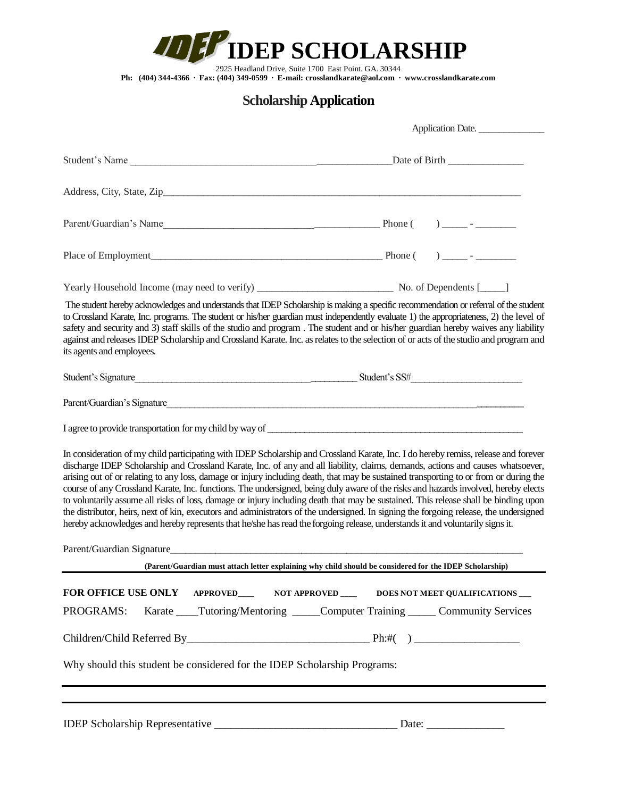*IDEP SCHOLARSHIP* 

2925 Headland Drive, Suite 1700 East Point. GA. 30344

**Ph: (404) 344-4366 ∙ Fax: (404) 349-0599 ∙ E-mail: crosslandkarate@aol.com ∙ www.crosslandkarate.com**

## **Scholarship Application**

|                                                                                                                                                                                                                                                                                                                                                                                                                                                                                                                                                                                                                                                                                                                                                                                                                                                                                                                                                                         | Application Date.                                              |  |
|-------------------------------------------------------------------------------------------------------------------------------------------------------------------------------------------------------------------------------------------------------------------------------------------------------------------------------------------------------------------------------------------------------------------------------------------------------------------------------------------------------------------------------------------------------------------------------------------------------------------------------------------------------------------------------------------------------------------------------------------------------------------------------------------------------------------------------------------------------------------------------------------------------------------------------------------------------------------------|----------------------------------------------------------------|--|
|                                                                                                                                                                                                                                                                                                                                                                                                                                                                                                                                                                                                                                                                                                                                                                                                                                                                                                                                                                         |                                                                |  |
|                                                                                                                                                                                                                                                                                                                                                                                                                                                                                                                                                                                                                                                                                                                                                                                                                                                                                                                                                                         |                                                                |  |
|                                                                                                                                                                                                                                                                                                                                                                                                                                                                                                                                                                                                                                                                                                                                                                                                                                                                                                                                                                         |                                                                |  |
|                                                                                                                                                                                                                                                                                                                                                                                                                                                                                                                                                                                                                                                                                                                                                                                                                                                                                                                                                                         |                                                                |  |
|                                                                                                                                                                                                                                                                                                                                                                                                                                                                                                                                                                                                                                                                                                                                                                                                                                                                                                                                                                         |                                                                |  |
| The student hereby acknowledges and understands that IDEP Scholarship is making a specific recommendation or referral of the student<br>to Crossland Karate, Inc. programs. The student or his/her guardian must independently evaluate 1) the appropriateness, 2) the level of<br>safety and security and 3) staff skills of the studio and program. The student and or his/her guardian hereby waives any liability<br>against and releases IDEP Scholarship and Crossland Karate. Inc. as relates to the selection of or acts of the studio and program and<br>its agents and employees.                                                                                                                                                                                                                                                                                                                                                                             |                                                                |  |
| Student's Signature<br>Student's SS <sup>#</sup>                                                                                                                                                                                                                                                                                                                                                                                                                                                                                                                                                                                                                                                                                                                                                                                                                                                                                                                        |                                                                |  |
|                                                                                                                                                                                                                                                                                                                                                                                                                                                                                                                                                                                                                                                                                                                                                                                                                                                                                                                                                                         |                                                                |  |
|                                                                                                                                                                                                                                                                                                                                                                                                                                                                                                                                                                                                                                                                                                                                                                                                                                                                                                                                                                         |                                                                |  |
| In consideration of my child participating with IDEP Scholarship and Crossland Karate, Inc. I do hereby remiss, release and forever<br>discharge IDEP Scholarship and Crossland Karate, Inc. of any and all liability, claims, demands, actions and causes whatsoever,<br>arising out of or relating to any loss, damage or injury including death, that may be sustained transporting to or from or during the<br>course of any Crossland Karate, Inc. functions. The undersigned, being duly aware of the risks and hazards involved, hereby elects<br>to voluntarily assume all risks of loss, damage or injury including death that may be sustained. This release shall be binding upon<br>the distributor, heirs, next of kin, executors and administrators of the undersigned. In signing the forgoing release, the undersigned<br>hereby acknowledges and hereby represents that he/she has read the forgoing release, understands it and voluntarily signs it. |                                                                |  |
|                                                                                                                                                                                                                                                                                                                                                                                                                                                                                                                                                                                                                                                                                                                                                                                                                                                                                                                                                                         |                                                                |  |
| (Parent/Guardian must attach letter explaining why child should be considered for the IDEP Scholarship)                                                                                                                                                                                                                                                                                                                                                                                                                                                                                                                                                                                                                                                                                                                                                                                                                                                                 |                                                                |  |
| FOR OFFICE USE ONLY APPROVED____ NOT APPROVED ___ DOES NOT MEET QUALIFICATIONS                                                                                                                                                                                                                                                                                                                                                                                                                                                                                                                                                                                                                                                                                                                                                                                                                                                                                          |                                                                |  |
| PROGRAMS:                                                                                                                                                                                                                                                                                                                                                                                                                                                                                                                                                                                                                                                                                                                                                                                                                                                                                                                                                               | Karate Tutoring/Mentoring Computer Training Community Services |  |
|                                                                                                                                                                                                                                                                                                                                                                                                                                                                                                                                                                                                                                                                                                                                                                                                                                                                                                                                                                         |                                                                |  |
| Why should this student be considered for the IDEP Scholarship Programs:                                                                                                                                                                                                                                                                                                                                                                                                                                                                                                                                                                                                                                                                                                                                                                                                                                                                                                |                                                                |  |
|                                                                                                                                                                                                                                                                                                                                                                                                                                                                                                                                                                                                                                                                                                                                                                                                                                                                                                                                                                         |                                                                |  |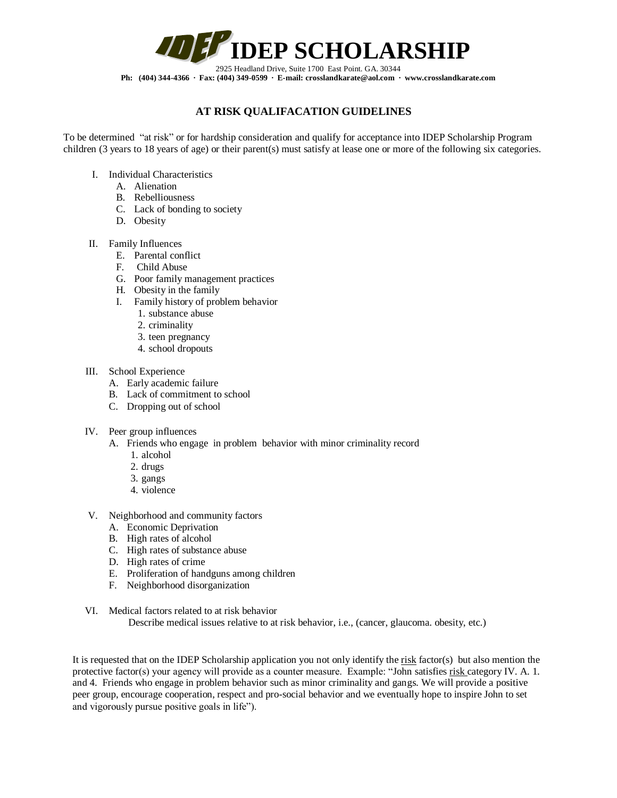

**Ph: (404) 344-4366 ∙ Fax: (404) 349-0599 ∙ E-mail: crosslandkarate@aol.com ∙ www.crosslandkarate.com**

## **AT RISK QUALIFACATION GUIDELINES**

To be determined "at risk" or for hardship consideration and qualify for acceptance into IDEP Scholarship Program children (3 years to 18 years of age) or their parent(s) must satisfy at lease one or more of the following six categories.

- I. Individual Characteristics
	- A. Alienation
	- B. Rebelliousness
	- C. Lack of bonding to society
	- D. Obesity
- II. Family Influences
	- E. Parental conflict
	- F. Child Abuse
	- G. Poor family management practices
	- H. Obesity in the family
	- I. Family history of problem behavior
		- 1. substance abuse
		- 2. criminality
		- 3. teen pregnancy
		- 4. school dropouts
- III. School Experience
	- A. Early academic failure
	- B. Lack of commitment to school
	- C. Dropping out of school
- IV. Peer group influences
	- A. Friends who engage in problem behavior with minor criminality record
		- 1. alcohol
		- 2. drugs
		- 3. gangs
		- 4. violence
- V. Neighborhood and community factors
	- A. Economic Deprivation
	- B. High rates of alcohol
	- C. High rates of substance abuse
	- D. High rates of crime
	- E. Proliferation of handguns among children
	- F. Neighborhood disorganization
- VI. Medical factors related to at risk behavior Describe medical issues relative to at risk behavior, i.e., (cancer, glaucoma. obesity, etc.)

It is requested that on the IDEP Scholarship application you not only identify the risk factor(s) but also mention the protective factor(s) your agency will provide as a counter measure. Example: "John satisfies risk category IV. A. 1. and 4. Friends who engage in problem behavior such as minor criminality and gangs. We will provide a positive peer group, encourage cooperation, respect and pro-social behavior and we eventually hope to inspire John to set and vigorously pursue positive goals in life").